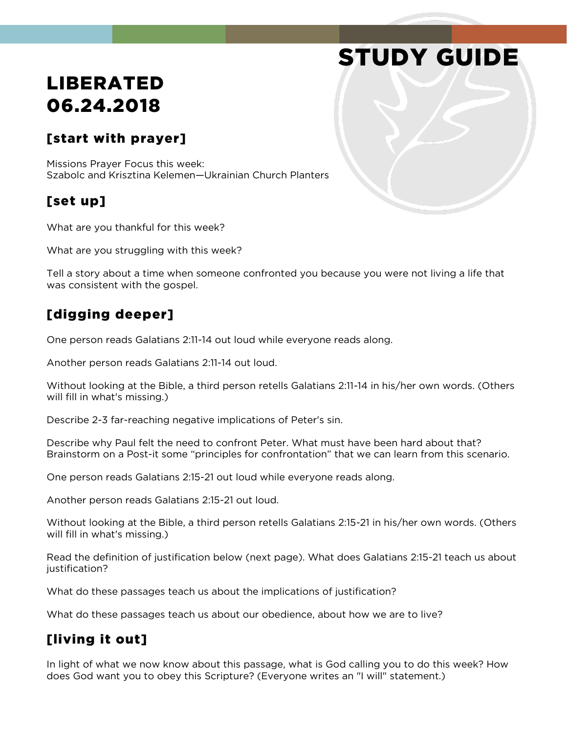# STUDY GUIDE

## LIBERATED 06.24.2018

#### [start with prayer]

Missions Prayer Focus this week: Szabolc and Krisztina Kelemen—Ukrainian Church Planters

#### [set up]

What are you thankful for this week?

What are you struggling with this week?

Tell a story about a time when someone confronted you because you were not living a life that was consistent with the gospel.

#### [digging deeper]

One person reads Galatians 2:11-14 out loud while everyone reads along.

Another person reads Galatians 2:11-14 out loud.

Without looking at the Bible, a third person retells Galatians 2:11-14 in his/her own words. (Others will fill in what's missing.)

Describe 2-3 far-reaching negative implications of Peter's sin.

Describe why Paul felt the need to confront Peter. What must have been hard about that? Brainstorm on a Post-it some "principles for confrontation" that we can learn from this scenario.

One person reads Galatians 2:15-21 out loud while everyone reads along.

Another person reads Galatians 2:15-21 out loud.

Without looking at the Bible, a third person retells Galatians 2:15-21 in his/her own words. (Others will fill in what's missing.)

Read the definition of justification below (next page). What does Galatians 2:15-21 teach us about justification?

What do these passages teach us about the implications of justification?

What do these passages teach us about our obedience, about how we are to live?

### [living it out]

In light of what we now know about this passage, what is God calling you to do this week? How does God want you to obey this Scripture? (Everyone writes an "I will" statement.)